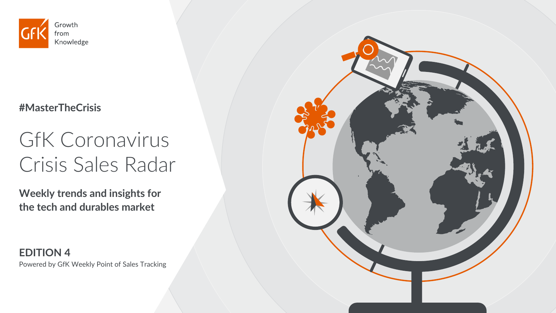

#### **#MasterTheCrisis**

# GfK Coronavirus Crisis Sales Radar

**Weekly trends and insights for the tech and durables market** 

**EDITION 4** Powered by GfK Weekly Point of Sales Tracking

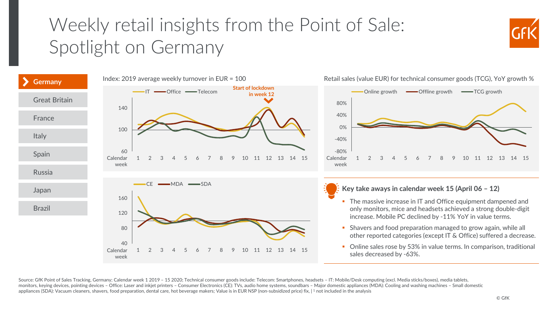## <span id="page-1-0"></span>Weekly retail insights from the Point of Sale: Spotlight on Germany





Retail sales (value EUR) for technical consumer goods (TCG), YoY growth %

Source: GfK Point of Sales Tracking, Germany; Calendar week 1 2019 - 15 2020; Technical consumer goods include: Telecom: Smartphones, headsets - IT: Mobile/Desk computing (excl. Media sticks/boxes), media tablets, monitors, keying devices, pointing devices – Office: Laser and inkjet printers – Consumer Electronics (CE): TVs, audio home systems, soundbars – Major domestic appliances (MDA): Cooling and washing machines – Small domesti appliances (SDA): Vacuum cleaners, shavers, food preparation, dental care, hot beverage makers; Value is in EUR NSP (non-subsidized price) fix, | 1 not included in the analysis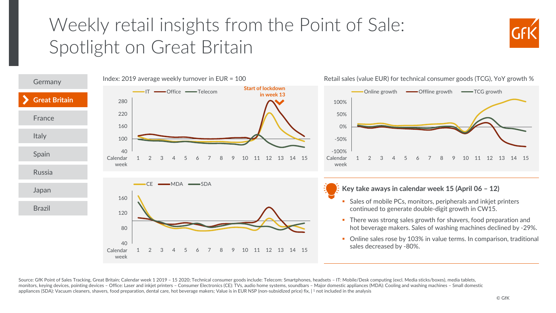#### <span id="page-2-0"></span>Weekly retail insights from the Point of Sale: Spotlight on Great Britain





Source: GfK Point of Sales Tracking, Great Britain; Calendar week 1 2019 - 15 2020; Technical consumer goods include: Telecom: Smartphones, headsets - IT: Mobile/Desk computing (excl. Media sticks/boxes), media tablets, monitors, keying devices, pointing devices – Office: Laser and inkjet printers – Consumer Electronics (CE): TVs, audio home systems, soundbars – Major domestic appliances (MDA): Cooling and washing machines – Small domesti appliances (SDA): Vacuum cleaners, shavers, food preparation, dental care, hot beverage makers; Value is in EUR NSP (non-subsidized price) fix, | 1 not included in the analysis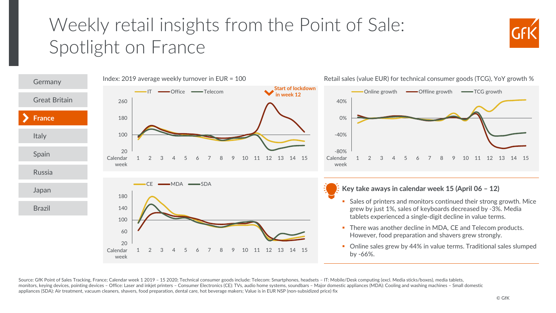## <span id="page-3-0"></span>Weekly retail insights from the Point of Sale: Spotlight on France





Source: GfK Point of Sales Tracking, France; Calendar week 1 2019 - 15 2020; Technical consumer goods include: Telecom: Smartphones, headsets - IT: Mobile/Desk computing (excl. Media sticks/boxes), media tablets, monitors, keying devices, pointing devices – Office: Laser and inkjet printers – Consumer Electronics (CE): TVs, audio home systems, soundbars – Major domestic appliances (MDA): Cooling and washing machines – Small domesti appliances (SDA): Air treatment, vacuum cleaners, shavers, food preparation, dental care, hot beverage makers; Value is in EUR NSP (non-subsidized price) fix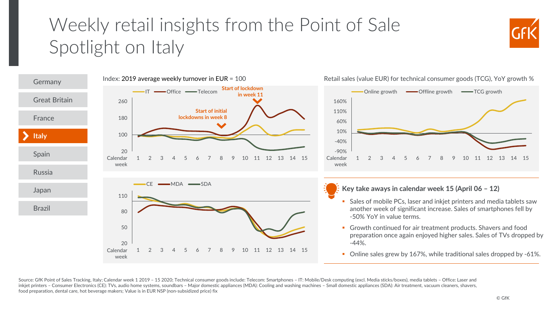## <span id="page-4-0"></span>Weekly retail insights from the Point of Sale Spotlight on Italy





Retail sales (value EUR) for technical consumer goods (TCG), YoY growth %

Source: GfK Point of Sales Tracking, Italy; Calendar week 1 2019 - 15 2020; Technical consumer goods include: Telecom: Smartphones - IT: Mobile/Desk computing (excl. Media sticks/boxes), media tablets - Office: Laser and inkjet printers – Consumer Electronics (CE): TVs, audio home systems, soundbars – Major domestic appliances (MDA): Cooling and washing machines – Small domestic appliances (SDA): Air treatment, vacuum cleaners, shavers, food preparation, dental care, hot beverage makers; Value is in EUR NSP (non-subsidized price) fix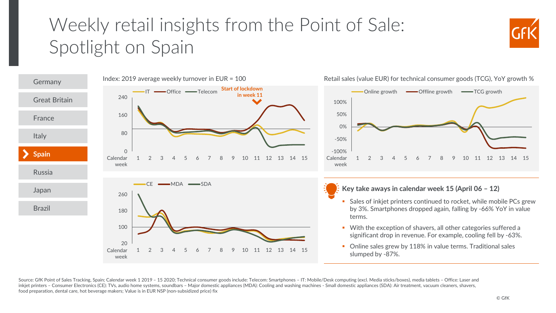## <span id="page-5-0"></span>Weekly retail insights from the Point of Sale: Spotlight on Spain

![](_page_5_Picture_1.jpeg)

![](_page_5_Figure_2.jpeg)

Source: GfK Point of Sales Tracking, Spain; Calendar week 1 2019 - 15 2020; Technical consumer goods include: Telecom: Smartphones - IT: Mobile/Desk computing (excl. Media sticks/boxes), media tablets - Office: Laser and inkjet printers – Consumer Electronics (CE): TVs, audio home systems, soundbars – Major domestic appliances (MDA): Cooling and washing machines - Small domestic appliances (SDA): Air treatment, vacuum cleaners, shavers, food preparation, dental care, hot beverage makers; Value is in EUR NSP (non-subsidized price) fix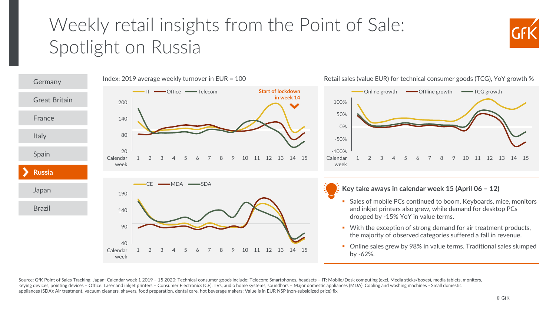#### <span id="page-6-0"></span>Weekly retail insights from the Point of Sale: Spotlight on Russia

![](_page_6_Picture_1.jpeg)

![](_page_6_Figure_2.jpeg)

Retail sales (value EUR) for technical consumer goods (TCG), YoY growth %

Source: GfK Point of Sales Tracking, Japan; Calendar week 1 2019 - 15 2020; Technical consumer goods include: Telecom: Smartphones, headsets - IT: Mobile/Desk computing (excl. Media sticks/boxes), media tablets, monitors, keying devices, pointing devices – Office: Laser and inkjet printers – Consumer Electronics (CE): TVs, audio home systems, soundbars – Major domestic appliances (MDA): Cooling and washing machines - Small domestic appliances (SDA): Air treatment, vacuum cleaners, shavers, food preparation, dental care, hot beverage makers; Value is in EUR NSP (non-subsidized price) fix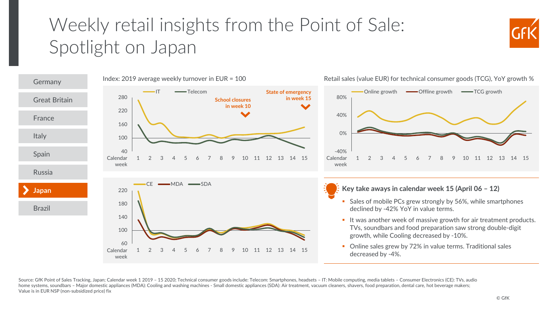## <span id="page-7-0"></span>Weekly retail insights from the Point of Sale: Spotlight on Japan

![](_page_7_Picture_1.jpeg)

![](_page_7_Figure_2.jpeg)

Retail sales (value EUR) for technical consumer goods (TCG), YoY growth %

Source: GfK Point of Sales Tracking, Japan; Calendar week 1 2019 - 15 2020; Technical consumer goods include: Telecom: Smartphones, headsets - IT: Mobile computing, media tablets - Consumer Electronics (CE): TVs, audio home systems, soundbars – Major domestic appliances (MDA): Cooling and washing machines - Small domestic appliances (SDA): Air treatment, vacuum cleaners, shavers, food preparation, dental care, hot beverage makers; Value is in EUR NSP (non-subsidized price) fix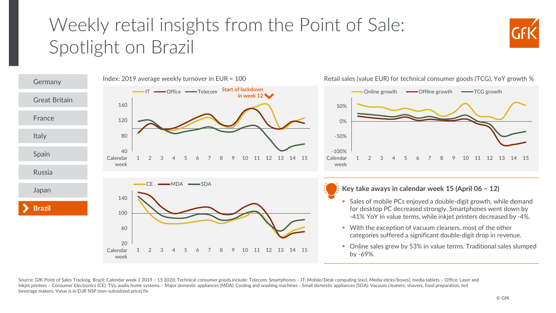## <span id="page-8-0"></span>Weekly retail insights from the Point of Sale: Spotlight on Brazil

![](_page_8_Picture_1.jpeg)

![](_page_8_Figure_2.jpeg)

Source: GfK Point of Sales Tracking, Brazil; Calendar week 1 2019 – 15 2020; Technical consumer goods include: Telecom: Smartphones – IT: Mobile/Desk computing (excl. Media sticks/boxes), media tablets – Office: Laser and inkjet printers – Consumer Electronics (CE): TVs, audio home systems – Major domestic appliances (MDA): Cooling and washing machines - Small domestic appliances (SDA): Vacuum cleaners, shavers, food preparation, hot beverage makers; Value is in EUR NSP (non-subsidized price) fix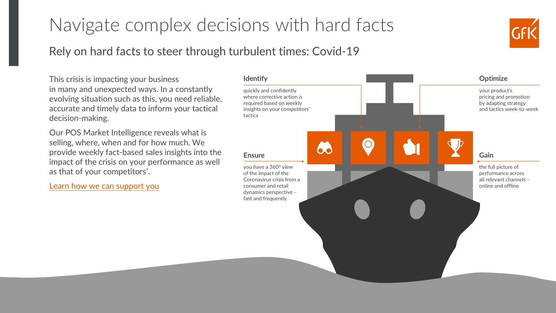#### <span id="page-9-0"></span>Navigate complex decisions with hard facts

#### Rely on hard facts to steer through turbulent times: Covid-19

This crisis is impacting your business in many and unexpected ways. In a constantly evolving situation such as this, you need reliable, accurate and timely data to inform your tactical decision-making.

Our POS Market Intelligence reveals what is selling, where, when and for how much. We provide weekly fact-based sales insights into the impact of the crisis on your performance as well as that of your competitors'.

[Learn how we can support](https://www.gfk.com/products-a-z/covid-19-proposition/) you

![](_page_9_Figure_5.jpeg)

![](_page_9_Picture_6.jpeg)